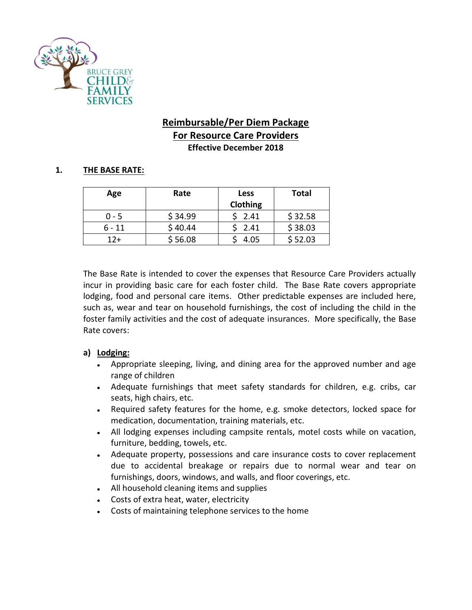

# **Reimbursable/Per Diem Package For Resource Care Providers Effective December 2018**

### **1. THE BASE RATE:**

| Age     | Rate    | <b>Less</b><br>Clothing | <b>Total</b> |
|---------|---------|-------------------------|--------------|
| $0 - 5$ | \$34.99 | 2.41                    | \$32.58      |
| 6 - 11  | \$40.44 | 2.41                    | \$38.03      |
| $12+$   | \$56.08 | 4.05                    | \$52.03      |

The Base Rate is intended to cover the expenses that Resource Care Providers actually incur in providing basic care for each foster child. The Base Rate covers appropriate lodging, food and personal care items. Other predictable expenses are included here, such as, wear and tear on household furnishings, the cost of including the child in the foster family activities and the cost of adequate insurances. More specifically, the Base Rate covers:

## **a) Lodging:**

- Appropriate sleeping, living, and dining area for the approved number and age range of children
- Adequate furnishings that meet safety standards for children, e.g. cribs, car seats, high chairs, etc.
- Required safety features for the home, e.g. smoke detectors, locked space for medication, documentation, training materials, etc.
- All lodging expenses including campsite rentals, motel costs while on vacation, furniture, bedding, towels, etc.
- Adequate property, possessions and care insurance costs to cover replacement due to accidental breakage or repairs due to normal wear and tear on furnishings, doors, windows, and walls, and floor coverings, etc.
- All household cleaning items and supplies
- Costs of extra heat, water, electricity
- Costs of maintaining telephone services to the home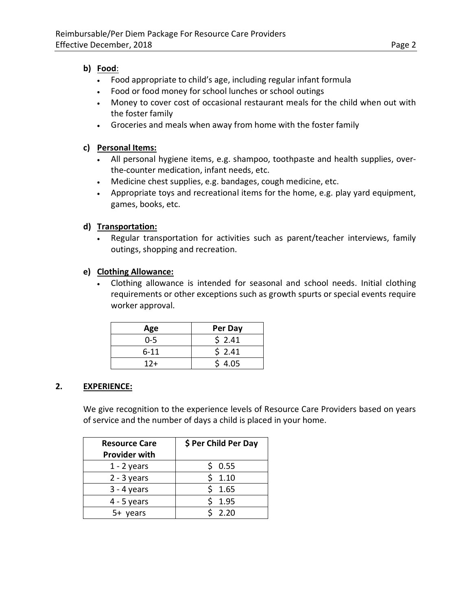## **b) Food**:

- Food appropriate to child's age, including regular infant formula
- Food or food money for school lunches or school outings
- Money to cover cost of occasional restaurant meals for the child when out with the foster family
- Groceries and meals when away from home with the foster family

## **c) Personal Items:**

- All personal hygiene items, e.g. shampoo, toothpaste and health supplies, overthe-counter medication, infant needs, etc.
- Medicine chest supplies, e.g. bandages, cough medicine, etc.
- Appropriate toys and recreational items for the home, e.g. play yard equipment, games, books, etc.

## **d) Transportation:**

• Regular transportation for activities such as parent/teacher interviews, family outings, shopping and recreation.

## **e) Clothing Allowance:**

• Clothing allowance is intended for seasonal and school needs. Initial clothing requirements or other exceptions such as growth spurts or special events require worker approval.

| Age      | Per Day |
|----------|---------|
| $0 - 5$  | \$2.41  |
| $6 - 11$ | \$2.41  |
| $12 +$   | \$4.05  |

## **2. EXPERIENCE:**

We give recognition to the experience levels of Resource Care Providers based on years of service and the number of days a child is placed in your home.

| <b>Resource Care</b><br><b>Provider with</b> | \$ Per Child Per Day |
|----------------------------------------------|----------------------|
| $1 - 2$ years                                | 0.55                 |
| $2 - 3$ years                                | 1.10                 |
| $3 - 4$ years                                | 1.65<br>ς            |
| $4 - 5$ years                                | 1.95                 |
| $5+$<br>years                                | 2.20                 |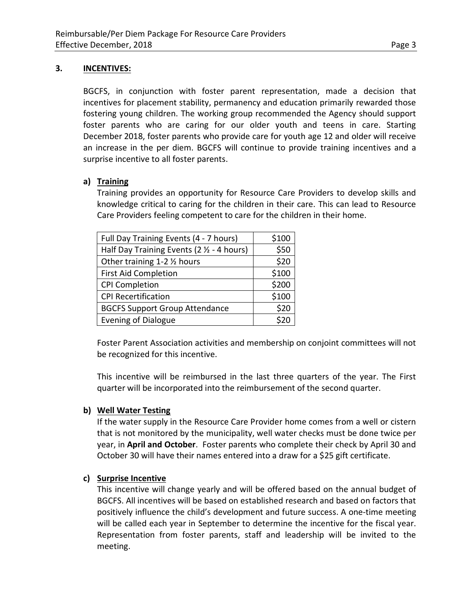## **3. INCENTIVES:**

BGCFS, in conjunction with foster parent representation, made a decision that incentives for placement stability, permanency and education primarily rewarded those fostering young children. The working group recommended the Agency should support foster parents who are caring for our older youth and teens in care. Starting December 2018, foster parents who provide care for youth age 12 and older will receive an increase in the per diem. BGCFS will continue to provide training incentives and a surprise incentive to all foster parents.

### **a) Training**

Training provides an opportunity for Resource Care Providers to develop skills and knowledge critical to caring for the children in their care. This can lead to Resource Care Providers feeling competent to care for the children in their home.

| Full Day Training Events (4 - 7 hours)     | \$100 |
|--------------------------------------------|-------|
| Half Day Training Events (2 1/2 - 4 hours) | \$50  |
| Other training 1-2 1/2 hours               | \$20  |
| <b>First Aid Completion</b>                | \$100 |
| <b>CPI Completion</b>                      | \$200 |
| <b>CPI Recertification</b>                 | \$100 |
| <b>BGCFS Support Group Attendance</b>      | \$20  |
| <b>Evening of Dialogue</b>                 |       |

Foster Parent Association activities and membership on conjoint committees will not be recognized for this incentive.

This incentive will be reimbursed in the last three quarters of the year. The First quarter will be incorporated into the reimbursement of the second quarter.

### **b) Well Water Testing**

If the water supply in the Resource Care Provider home comes from a well or cistern that is not monitored by the municipality, well water checks must be done twice per year, in **April and October**. Foster parents who complete their check by April 30 and October 30 will have their names entered into a draw for a \$25 gift certificate.

### **c) Surprise Incentive**

This incentive will change yearly and will be offered based on the annual budget of BGCFS. All incentives will be based on established research and based on factors that positively influence the child's development and future success. A one-time meeting will be called each year in September to determine the incentive for the fiscal year. Representation from foster parents, staff and leadership will be invited to the meeting.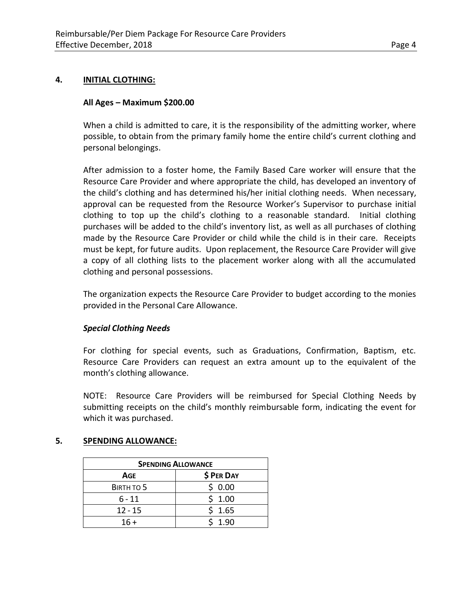#### **4. INITIAL CLOTHING:**

#### **All Ages – Maximum \$200.00**

When a child is admitted to care, it is the responsibility of the admitting worker, where possible, to obtain from the primary family home the entire child's current clothing and personal belongings.

After admission to a foster home, the Family Based Care worker will ensure that the Resource Care Provider and where appropriate the child, has developed an inventory of the child's clothing and has determined his/her initial clothing needs. When necessary, approval can be requested from the Resource Worker's Supervisor to purchase initial clothing to top up the child's clothing to a reasonable standard. Initial clothing purchases will be added to the child's inventory list, as well as all purchases of clothing made by the Resource Care Provider or child while the child is in their care. Receipts must be kept, for future audits. Upon replacement, the Resource Care Provider will give a copy of all clothing lists to the placement worker along with all the accumulated clothing and personal possessions.

The organization expects the Resource Care Provider to budget according to the monies provided in the Personal Care Allowance.

#### *Special Clothing Needs*

For clothing for special events, such as Graduations, Confirmation, Baptism, etc. Resource Care Providers can request an extra amount up to the equivalent of the month's clothing allowance.

NOTE: Resource Care Providers will be reimbursed for Special Clothing Needs by submitting receipts on the child's monthly reimbursable form, indicating the event for which it was purchased.

#### **5. SPENDING ALLOWANCE:**

| <b>SPENDING ALLOWANCE</b> |            |  |
|---------------------------|------------|--|
| Age                       | \$ PER DAY |  |
| BIRTH TO 5                | \$0.00     |  |
| $6 - 11$                  | \$1.00     |  |
| $12 - 15$                 | \$1.65     |  |
| $16 +$                    | 1.90       |  |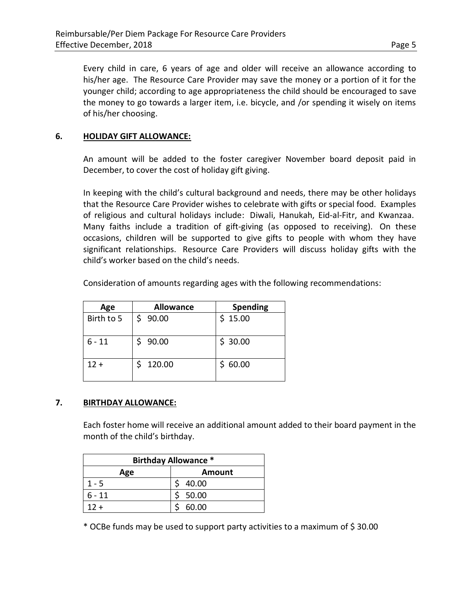Every child in care, 6 years of age and older will receive an allowance according to his/her age. The Resource Care Provider may save the money or a portion of it for the younger child; according to age appropriateness the child should be encouraged to save the money to go towards a larger item, i.e. bicycle, and /or spending it wisely on items of his/her choosing.

## **6. HOLIDAY GIFT ALLOWANCE:**

An amount will be added to the foster caregiver November board deposit paid in December, to cover the cost of holiday gift giving.

In keeping with the child's cultural background and needs, there may be other holidays that the Resource Care Provider wishes to celebrate with gifts or special food. Examples of religious and cultural holidays include: Diwali, Hanukah, Eid-al-Fitr, and Kwanzaa. Many faiths include a tradition of gift-giving (as opposed to receiving). On these occasions, children will be supported to give gifts to people with whom they have significant relationships. Resource Care Providers will discuss holiday gifts with the child's worker based on the child's needs.

| Age        | <b>Allowance</b> | <b>Spending</b> |
|------------|------------------|-----------------|
| Birth to 5 | \$90.00          | \$15.00         |
| $6 - 11$   | \$90.00          | \$30.00         |
| $12 +$     | \$120.00         | \$60.00         |

Consideration of amounts regarding ages with the following recommendations:

### **7. BIRTHDAY ALLOWANCE:**

Each foster home will receive an additional amount added to their board payment in the month of the child's birthday.

| <b>Birthday Allowance *</b> |        |  |
|-----------------------------|--------|--|
| Age                         | Amount |  |
| $1 - 5$                     | 40.00  |  |
| $6 - 11$                    | 50.00  |  |
| $12 +$                      | 60.00  |  |

\* OCBe funds may be used to support party activities to a maximum of \$ 30.00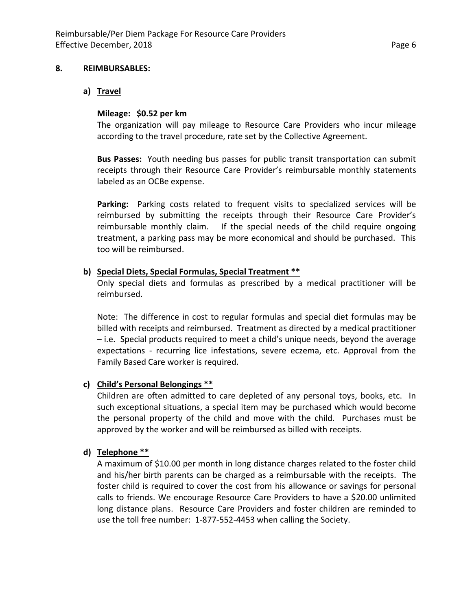#### **8. REIMBURSABLES:**

#### **a) Travel**

### **Mileage: \$0.52 per km**

The organization will pay mileage to Resource Care Providers who incur mileage according to the travel procedure, rate set by the Collective Agreement.

**Bus Passes:** Youth needing bus passes for public transit transportation can submit receipts through their Resource Care Provider's reimbursable monthly statements labeled as an OCBe expense.

**Parking:** Parking costs related to frequent visits to specialized services will be reimbursed by submitting the receipts through their Resource Care Provider's reimbursable monthly claim. If the special needs of the child require ongoing treatment, a parking pass may be more economical and should be purchased. This too will be reimbursed.

#### **b) Special Diets, Special Formulas, Special Treatment \*\***

Only special diets and formulas as prescribed by a medical practitioner will be reimbursed.

Note: The difference in cost to regular formulas and special diet formulas may be billed with receipts and reimbursed. Treatment as directed by a medical practitioner – i.e. Special products required to meet a child's unique needs, beyond the average expectations - recurring lice infestations, severe eczema, etc. Approval from the Family Based Care worker is required.

### **c) Child's Personal Belongings \*\***

Children are often admitted to care depleted of any personal toys, books, etc. In such exceptional situations, a special item may be purchased which would become the personal property of the child and move with the child. Purchases must be approved by the worker and will be reimbursed as billed with receipts.

#### **d) Telephone \*\***

A maximum of \$10.00 per month in long distance charges related to the foster child and his/her birth parents can be charged as a reimbursable with the receipts. The foster child is required to cover the cost from his allowance or savings for personal calls to friends. We encourage Resource Care Providers to have a \$20.00 unlimited long distance plans. Resource Care Providers and foster children are reminded to use the toll free number: 1-877-552-4453 when calling the Society.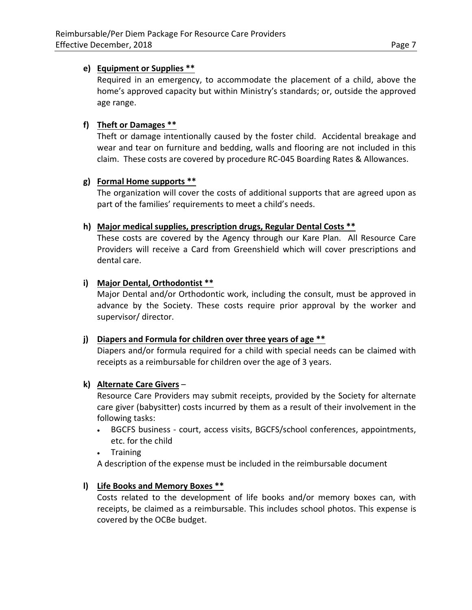## **e) Equipment or Supplies \*\***

Required in an emergency, to accommodate the placement of a child, above the home's approved capacity but within Ministry's standards; or, outside the approved age range.

## **f) Theft or Damages \*\***

Theft or damage intentionally caused by the foster child. Accidental breakage and wear and tear on furniture and bedding, walls and flooring are not included in this claim. These costs are covered by procedure RC-045 Boarding Rates & Allowances.

## **g) Formal Home supports \*\***

The organization will cover the costs of additional supports that are agreed upon as part of the families' requirements to meet a child's needs.

## **h) Major medical supplies, prescription drugs, Regular Dental Costs \*\***

These costs are covered by the Agency through our Kare Plan. All Resource Care Providers will receive a Card from Greenshield which will cover prescriptions and dental care.

## **i) Major Dental, Orthodontist \*\***

Major Dental and/or Orthodontic work, including the consult, must be approved in advance by the Society. These costs require prior approval by the worker and supervisor/ director.

### **j) Diapers and Formula for children over three years of age \*\***

Diapers and/or formula required for a child with special needs can be claimed with receipts as a reimbursable for children over the age of 3 years.

## **k) Alternate Care Givers** –

Resource Care Providers may submit receipts, provided by the Society for alternate care giver (babysitter) costs incurred by them as a result of their involvement in the following tasks:

- BGCFS business court, access visits, BGCFS/school conferences, appointments, etc. for the child
- Training

A description of the expense must be included in the reimbursable document

## **l) Life Books and Memory Boxes \*\***

Costs related to the development of life books and/or memory boxes can, with receipts, be claimed as a reimbursable. This includes school photos. This expense is covered by the OCBe budget.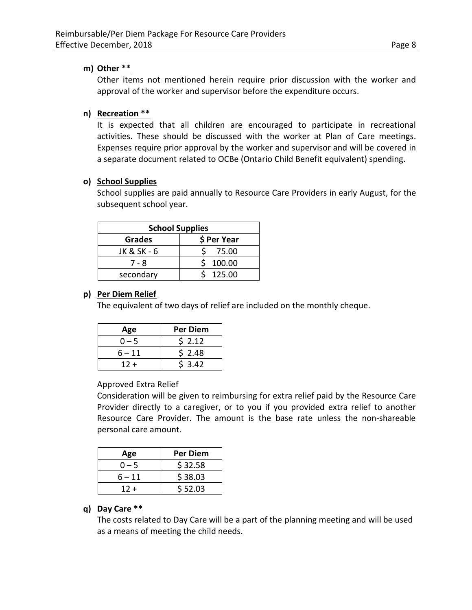#### **m) Other \*\***

Other items not mentioned herein require prior discussion with the worker and approval of the worker and supervisor before the expenditure occurs.

## **n) Recreation \*\***

It is expected that all children are encouraged to participate in recreational activities. These should be discussed with the worker at Plan of Care meetings. Expenses require prior approval by the worker and supervisor and will be covered in a separate document related to OCBe (Ontario Child Benefit equivalent) spending.

### **o) School Supplies**

School supplies are paid annually to Resource Care Providers in early August, for the subsequent school year.

| <b>School Supplies</b> |        |  |
|------------------------|--------|--|
| \$ Per Year<br>Grades  |        |  |
| JK & SK - 6            | 75.00  |  |
| 7 - 8                  | 100.00 |  |
| secondary              | 125.00 |  |

#### **p) Per Diem Relief**

The equivalent of two days of relief are included on the monthly cheque.

| Age     | <b>Per Diem</b> |
|---------|-----------------|
| $0 - 5$ | \$2.12          |
| 6 – 11  | \$2.48          |
| $12 +$  | 53.42           |

Approved Extra Relief

Consideration will be given to reimbursing for extra relief paid by the Resource Care Provider directly to a caregiver, or to you if you provided extra relief to another Resource Care Provider. The amount is the base rate unless the non-shareable personal care amount.

| Age     | <b>Per Diem</b> |
|---------|-----------------|
| $0 - 5$ | \$32.58         |
| 6 – 11  | \$38.03         |
| $12 +$  | \$52.03         |

## **q) Day Care \*\***

The costs related to Day Care will be a part of the planning meeting and will be used as a means of meeting the child needs.